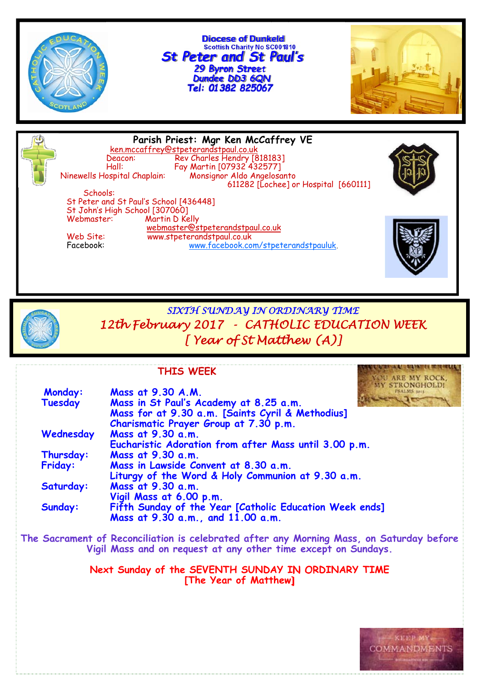

**Diocese of Dunkeld Scottish Charity No SC001810** *St Peter and St Paul's 29 Byron Street Dundee DD3 6QN*



**Parish Priest: Mgr Ken McCaffrey VE** ken.mccaffrey@stpeterandstpaul.co.uk Deacon: Rev Charles Hendry [818183] Hall: Fay Martin [07932 432577] Ninewells Hospital Chaplain: Monsignor Aldo Angelosanto 611282 [Lochee] or Hospital [660111] Schools: St Peter and St Paul's School [436448] St John's High School [307060] Martin D Kelly webmaster@stpeterandstpaul.co.uk<br>Web Site: www.stpeterandstpaul.co.uk Web Site: www.stpeterandstpaul.co.uk<br>Facebook: www.facebook.co www.facebook.com/stpeterandstpauluk.



*SIXTH SUNDAY IN ORDINARY TIME 12th February 2017 - CATHOLIC EDUCATION WEEK [ Year of St Matthew (A)]* 

#### **THIS WEEK**

| Monday:        | <b>MY STRONGHOLD!</b><br>Mass at 9.30 A.M.                                               |
|----------------|------------------------------------------------------------------------------------------|
| Tuesday        | Mass in St Paul's Academy at 8.25 a.m.                                                   |
|                | Mass for at 9.30 a.m. [Saints Cyril & Methodius]                                         |
|                | Charismatic Prayer Group at 7.30 p.m.                                                    |
| Wednesday      | Mass at 9.30 a.m.                                                                        |
|                | Eucharistic Adoration from after Mass until 3.00 p.m.                                    |
| Thursday:      | Mass at 9.30 a.m.                                                                        |
| <b>Friday:</b> | Mass in Lawside Convent at 8.30 a.m.                                                     |
|                | Liturgy of the Word & Holy Communion at 9.30 a.m.                                        |
| Saturday:      | Mass at 9.30 a.m.                                                                        |
|                | Vigil Mass at 6.00 p.m.                                                                  |
| Sunday:        | Fifth Sunday of the Year [Catholic Education Week ends]                                  |
|                | Mass at 9.30 a.m., and 11.00 a.m.                                                        |
|                | The Sacrament of Reconciliation is celebrated after any Morning Mass, on Saturday before |
|                | Vigil Mass and on request at any other time except on Sundays.                           |
|                |                                                                                          |

**Next Sunday of the SEVENTH SUNDAY IN ORDINARY TIME [The Year of Matthew]** 



YOU ARE MY ROCK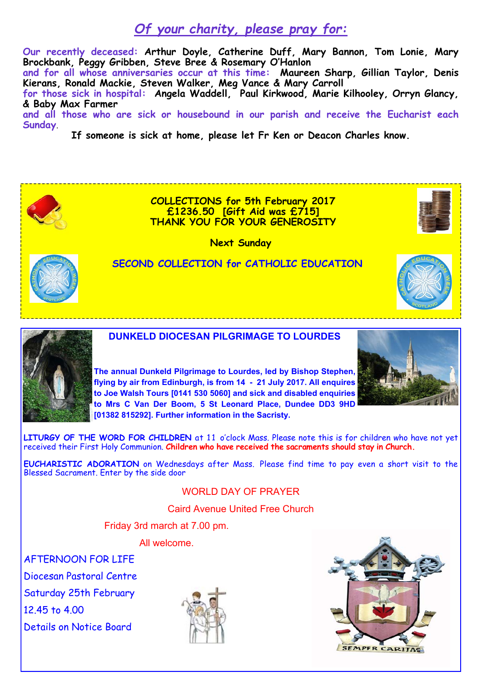## *Of your charity, please pray for:*

**Our recently deceased: Arthur Doyle, Catherine Duff, Mary Bannon, Tom Lonie, Mary Brockbank, Peggy Gribben, Steve Bree & Rosemary O'Hanlon** 

**and for all whose anniversaries occur at this time: Maureen Sharp, Gillian Taylor, Denis Kierans, Ronald Mackie, Steven Walker, Meg Vance & Mary Carroll** 

**for those sick in hospital: Angela Waddell, Paul Kirkwood, Marie Kilhooley, Orryn Glancy, & Baby Max Farmer** 

**and all those who are sick or housebound in our parish and receive the Eucharist each Sunday**.

**If someone is sick at home, please let Fr Ken or Deacon Charles know.** 



**EUCHARISTIC ADORATION** on Wednesdays after Mass. Please find time to pay even a short visit to the Blessed Sacrament. Enter by the side door

#### WORLD DAY OF PRAYER

Caird Avenue United Free Church

Friday 3rd march at 7.00 pm.

All welcome.

AFTERNOON FOR LIFE

Diocesan Pastoral Centre

Saturday 25th February

12.45 to 4.00

Details on Notice Board



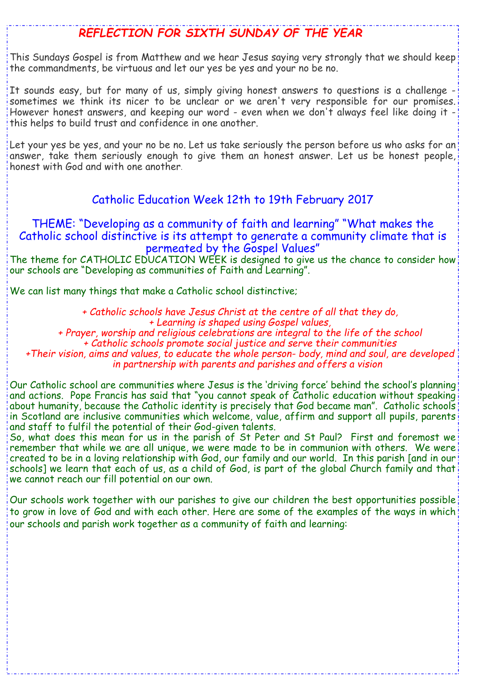## *REFLECTION FOR SIXTH SUNDAY OF THE YEAR*

This Sundays Gospel is from Matthew and we hear Jesus saying very strongly that we should keep the commandments, be virtuous and let our yes be yes and your no be no.

It sounds easy, but for many of us, simply giving honest answers to questions is a challenge sometimes we think its nicer to be unclear or we aren't very responsible for our promises. However honest answers, and keeping our word - even when we don't always feel like doing it this helps to build trust and confidence in one another.

Let your yes be yes, and your no be no. Let us take seriously the person before us who asks for an answer, take them seriously enough to give them an honest answer. Let us be honest people, honest with God and with one another.

## Catholic Education Week 12th to 19th February 2017

### THEME: "Developing as a community of faith and learning" "What makes the Catholic school distinctive is its attempt to generate a community climate that is permeated by the Gospel Values"

The theme for CATHOLIC EDUCATION WEEK is designed to give us the chance to consider how our schools are "Developing as communities of Faith and Learning".

We can list many things that make a Catholic school distinctive;

*+ Catholic schools have Jesus Christ at the centre of all that they do,* 

*+ Learning is shaped using Gospel values, + Prayer, worship and religious celebrations are integral to the life of the school* 

*+ Catholic schools promote social justice and serve their communities* 

*+Their vision, aims and values, to educate the whole person- body, mind and soul, are developed in partnership with parents and parishes and offers a vision* 

Our Catholic school are communities where Jesus is the 'driving force' behind the school's planning and actions. Pope Francis has said that "you cannot speak of Catholic education without speaking about humanity, because the Catholic identity is precisely that God became man". Catholic schools in Scotland are inclusive communities which welcome, value, affirm and support all pupils, parents and staff to fulfil the potential of their God-given talents.

So, what does this mean for us in the parish of St Peter and St Paul? First and foremost we remember that while we are all unique, we were made to be in communion with others. We were created to be in a loving relationship with God, our family and our world. In this parish [and in our schools] we learn that each of us, as a child of God, is part of the global Church family and that we cannot reach our fill potential on our own.

Our schools work together with our parishes to give our children the best opportunities possible to grow in love of God and with each other. Here are some of the examples of the ways in which our schools and parish work together as a community of faith and learning: